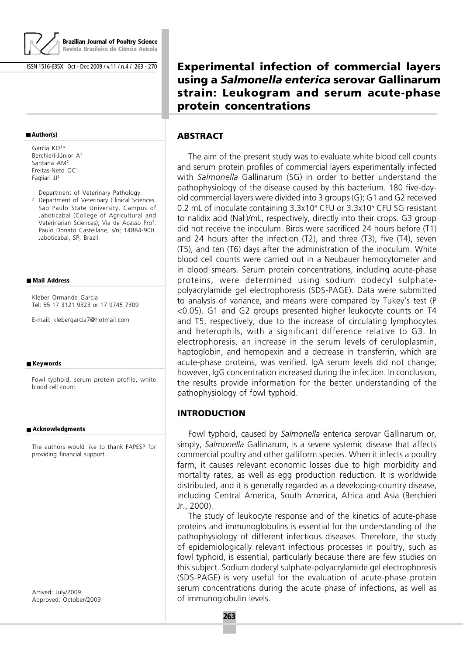

**Brazilian Journal of Poultry Science Revista Brasileira de Ciência Avícola**

ISSN 1516-635X Oct - Dec 2009 / v.11 / n.4 / 263 - 270

#### **Author(s)**

Garcia KO<sup>1</sup> \* Berchieri-Júnior A<sup>1</sup> Santana AM<sup>2</sup> Freitas-Neto OC<sup>1</sup> Fagliari JJ<sup>2</sup>

<sup>1</sup> Department of Veterinary Pathology.

<sup>2</sup> Department of Veterinary Clinical Sciences. Sao Paulo State University, Campus of Jaboticabal (College of Agricultural and Veterinarian Sciences); Via de Acesso Prof. Paulo Donato Castellane, s/n; 14884-900. Jaboticabal, SP, Brazil.

#### **Mail Address**

Kleber Ormande Garcia Tel: 55 17 3121 9323 or 17 9745 7309

E-mail: klebergarcia7@hotmail.com

#### **Keywords**

Fowl typhoid, serum protein profile, white blood cell count.

#### **Acknowledgments**

The authors would like to thank FAPESP for providing financial support.

Arrived: July/2009 Approved: October/2009 **Experimental infection of commercial layers using a** *Salmonella enterica* **serovar Gallinarum strain: Leukogram and serum acute-phase protein concentrations**

### **ABSTRACT**

The aim of the present study was to evaluate white blood cell counts and serum protein profiles of commercial layers experimentally infected with Salmonella Gallinarum (SG) in order to better understand the pathophysiology of the disease caused by this bacterium. 180 five-dayold commercial layers were divided into 3 groups (G); G1 and G2 received 0.2 mL of inoculate containing 3.3x10<sup>8</sup> CFU or 3.3x10<sup>5</sup> CFU SG resistant to nalidix acid (Nal<sup>r</sup> )/mL, respectively, directly into their crops. G3 group did not receive the inoculum. Birds were sacrificed 24 hours before (T1) and 24 hours after the infection (T2), and three (T3), five (T4), seven (T5), and ten (T6) days after the administration of the inoculum. White blood cell counts were carried out in a Neubauer hemocytometer and in blood smears. Serum protein concentrations, including acute-phase proteins, were determined using sodium dodecyl sulphatepolyacrylamide gel electrophoresis (SDS-PAGE). Data were submitted to analysis of variance, and means were compared by Tukey's test (P <0.05). G1 and G2 groups presented higher leukocyte counts on T4 and T5, respectively, due to the increase of circulating lymphocytes and heterophils, with a significant difference relative to G3. In electrophoresis, an increase in the serum levels of ceruloplasmin, haptoglobin, and hemopexin and a decrease in transferrin, which are acute-phase proteins, was verified. IgA serum levels did not change; however, IgG concentration increased during the infection. In conclusion, the results provide information for the better understanding of the pathophysiology of fowl typhoid.

#### **INTRODUCTION**

Fowl typhoid, caused by Salmonella enterica serovar Gallinarum or, simply, Salmonella Gallinarum, is a severe systemic disease that affects commercial poultry and other galliform species. When it infects a poultry farm, it causes relevant economic losses due to high morbidity and mortality rates, as well as egg production reduction. It is worldwide distributed, and it is generally regarded as a developing-country disease, including Central America, South America, Africa and Asia (Berchieri Jr., 2000).

The study of leukocyte response and of the kinetics of acute-phase proteins and immunoglobulins is essential for the understanding of the pathophysiology of different infectious diseases. Therefore, the study of epidemiologically relevant infectious processes in poultry, such as fowl typhoid, is essential, particularly because there are few studies on this subject. Sodium dodecyl sulphate-polyacrylamide gel electrophoresis (SDS-PAGE) is very useful for the evaluation of acute-phase protein serum concentrations during the acute phase of infections, as well as of immunoglobulin levels.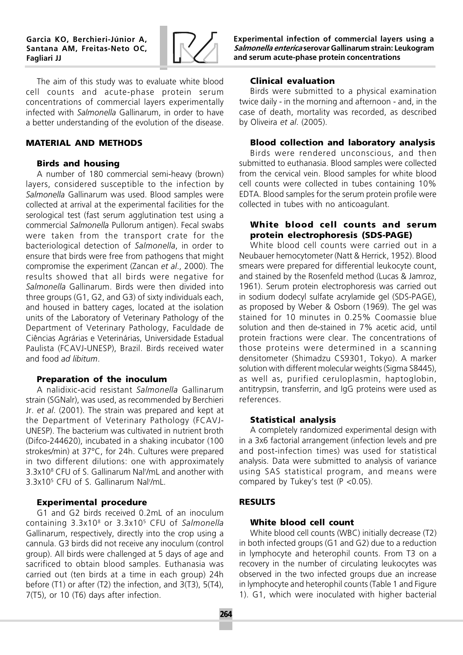

The aim of this study was to evaluate white blood cell counts and acute-phase protein serum concentrations of commercial layers experimentally infected with Salmonella Gallinarum, in order to have a better understanding of the evolution of the disease.

## **MATERIAL AND METHODS**

## **Birds and housing**

A number of 180 commercial semi-heavy (brown) layers, considered susceptible to the infection by Salmonella Gallinarum was used. Blood samples were collected at arrival at the experimental facilities for the serological test (fast serum agglutination test using a commercial Salmonella Pullorum antigen). Fecal swabs were taken from the transport crate for the bacteriological detection of Salmonella, in order to ensure that birds were free from pathogens that might compromise the experiment (Zancan et al., 2000). The results showed that all birds were negative for Salmonella Gallinarum. Birds were then divided into three groups (G1, G2, and G3) of sixty individuals each, and housed in battery cages, located at the isolation units of the Laboratory of Veterinary Pathology of the Department of Veterinary Pathology, Faculdade de Ciências Agrárias e Veterinárias, Universidade Estadual Paulista (FCAVJ-UNESP), Brazil. Birds received water and food ad libitum.

# **Preparation of the inoculum**

A nalidixic-acid resistant Salmonella Gallinarum strain (SGNalr), was used, as recommended by Berchieri Jr. et al. (2001). The strain was prepared and kept at the Department of Veterinary Pathology (FCAVJ-UNESP). The bacterium was cultivated in nutrient broth (Difco-244620), incubated in a shaking incubator (100 strokes/min) at 37°C, for 24h. Cultures were prepared in two different dilutions: one with approximately 3.3x10<sup>8</sup> CFU of S. Gallinarum Nal<sup>r</sup>/mL and another with 3.3x10<sup>5</sup> CFU of S. Gallinarum Nal<sup>r</sup> /mL.

# **Experimental procedure**

G1 and G2 birds received 0.2mL of an inoculum containing 3.3x10<sup>8</sup> or 3.3x10<sup>5</sup> CFU of Salmonella Gallinarum, respectively, directly into the crop using a cannula. G3 birds did not receive any inoculum (control group). All birds were challenged at 5 days of age and sacrificed to obtain blood samples. Euthanasia was carried out (ten birds at a time in each group) 24h before (T1) or after (T2) the infection, and 3(T3), 5(T4), 7(T5), or 10 (T6) days after infection.

Experimental infection of commercial layers using a Salmonella enterica serovar Gallinarum strain: Leukogram and serum acute-phase protein concentrations

# **Clinical evaluation**

Birds were submitted to a physical examination twice daily - in the morning and afternoon - and, in the case of death, mortality was recorded, as described by Oliveira et al. (2005).

# **Blood collection and laboratory analysis**

Birds were rendered unconscious, and then submitted to euthanasia. Blood samples were collected from the cervical vein. Blood samples for white blood cell counts were collected in tubes containing 10% EDTA. Blood samples for the serum protein profile were collected in tubes with no anticoagulant.

## **White blood cell counts and serum protein electrophoresis (SDS-PAGE)**

White blood cell counts were carried out in a Neubauer hemocytometer (Natt & Herrick, 1952). Blood smears were prepared for differential leukocyte count, and stained by the Rosenfeld method (Lucas & Jamroz, 1961). Serum protein electrophoresis was carried out in sodium dodecyl sulfate acrylamide gel (SDS-PAGE), as proposed by Weber & Osborn (1969). The gel was stained for 10 minutes in 0.25% Coomassie blue solution and then de-stained in 7% acetic acid, until protein fractions were clear. The concentrations of those proteins were determined in a scanning densitometer (Shimadzu CS9301, Tokyo). A marker solution with different molecular weights (Sigma S8445), as well as, purified ceruloplasmin, haptoglobin, antitrypsin, transferrin, and IgG proteins were used as references.

# **Statistical analysis**

A completely randomized experimental design with in a 3x6 factorial arrangement (infection levels and pre and post-infection times) was used for statistical analysis. Data were submitted to analysis of variance using SAS statistical program, and means were compared by Tukey's test (P <0.05).

# **RESULTS**

# **White blood cell count**

White blood cell counts (WBC) initially decrease (T2) in both infected groups (G1 and G2) due to a reduction in lymphocyte and heterophil counts. From T3 on a recovery in the number of circulating leukocytes was observed in the two infected groups due an increase in lymphocyte and heterophil counts (Table 1 and Figure 1). G1, which were inoculated with higher bacterial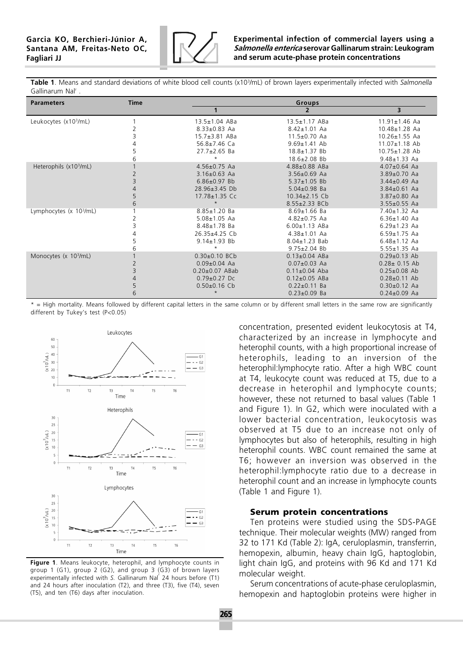

Table 1. Means and standard deviations of white blood cell counts (x10<sup>3</sup>/mL) of brown layers experimentally infected with Salmonella Gallinarum Nal<sup>r</sup>.

| <b>Parameters</b>                   | <b>Time</b> |                      | Groups              |                         |  |  |  |  |
|-------------------------------------|-------------|----------------------|---------------------|-------------------------|--|--|--|--|
|                                     |             | 1                    | $\overline{2}$      | $\overline{\mathbf{3}}$ |  |  |  |  |
| Leukocytes (x10 <sup>3</sup> /mL)   |             | $13.5 \pm 1.04$ ABa  | $13.5 \pm 1.17$ ABa | $11.91 \pm 1.46$ Aa     |  |  |  |  |
|                                     |             | $8.33 \pm 0.83$ Aa   | $8.42 \pm 1.01$ Aa  | $10.48 \pm 1.28$ Aa     |  |  |  |  |
|                                     |             | $15.7 \pm 3.81$ ABa  | $11.5 \pm 0.70$ Aa  | $10.26 \pm 1.55$ Aa     |  |  |  |  |
|                                     |             | 56.8 $\pm$ 7.46 Ca   | $9.69 \pm 1.41$ Ab  | $11.07 \pm 1.18$ Ab     |  |  |  |  |
|                                     |             | $27.7 \pm 2.65$ Ba   | 18.8±1.37 Bb        | $10.75 \pm 1.28$ Ab     |  |  |  |  |
|                                     | 6           | $\star$              | 18.6±2.08 Bb        | $9.48 \pm 1.33$ Aa      |  |  |  |  |
| Heterophils (x10 <sup>3</sup> /mL)  |             | $4.56 \pm 0.75$ Aa   | $4.88 \pm 0.88$ ABa | $4.07 \pm 0.64$ Aa      |  |  |  |  |
|                                     |             | $3.16 \pm 0.63$ Aa   | $3.56 \pm 0.69$ Aa  | 3.89±0.70 Aa            |  |  |  |  |
|                                     |             | $6.86 \pm 0.97$ Bb   | $5.37 \pm 1.05$ Bb  | $3.44 \pm 0.49$ Aa      |  |  |  |  |
|                                     |             | 28.96±3.45 Db        | $5.04 \pm 0.98$ Ba  | $3.84 \pm 0.61$ Aa      |  |  |  |  |
|                                     | 5           | 17.78±1.35 Cc        | $10.34 \pm 2.15$ Cb | $3.87 \pm 0.80$ Aa      |  |  |  |  |
|                                     | 6           | $\star$              | 8.55±2.33 BCb       | $3.55 \pm 0.55$ Aa      |  |  |  |  |
| Lymphocytes (x 10 <sup>3</sup> /mL) |             | 8.85±1.20 Ba         | $8.69 \pm 1.66$ Ba  | $7.40 \pm 1.32$ Aa      |  |  |  |  |
|                                     |             | $5.08 \pm 1.05$ Aa   | $4.82 \pm 0.75$ Aa  | $6.36 \pm 1.40$ Aa      |  |  |  |  |
|                                     |             | $8.48 \pm 1.78$ Ba   | $6.00 \pm 1.13$ ABa | $6.29 \pm 1.23$ Aa      |  |  |  |  |
|                                     |             | $26.35+4.25$ Cb      | $4.38 \pm 1.01$ Aa  | $6.59 \pm 1.75$ Aa      |  |  |  |  |
|                                     |             | $9.14 \pm 1.93$ Bb   | $8.04 \pm 1.23$ Bab | $6.48 \pm 1.12$ Aa      |  |  |  |  |
|                                     |             | $^\star$             | $9.75 \pm 2.04$ Bb  | $5.55 \pm 1.35$ Aa      |  |  |  |  |
| Monocytes (x 10 <sup>3</sup> /mL)   |             | $0.30 \pm 0.10$ BCb  | $0.13 \pm 0.04$ ABa | $0.29 \pm 0.13$ Ab      |  |  |  |  |
|                                     |             | $0.09 \pm 0.04$ Aa   | $0.07 \pm 0.03$ Aa  | $0.28 \pm 0.15$ Ab      |  |  |  |  |
|                                     |             | $0.20 \pm 0.07$ ABab | $0.11 \pm 0.04$ Aba | $0.25 \pm 0.08$ Ab      |  |  |  |  |
|                                     |             | $0.79 \pm 0.27$ Dc   | $0.12 \pm 0.05$ ABa | $0.28 \pm 0.11$ Ab      |  |  |  |  |
|                                     |             | $0.50\pm0.16$ Cb     | $0.22 \pm 0.11$ Ba  | $0.30 \pm 0.12$ Aa      |  |  |  |  |
|                                     | 6           | $\star$              | $0.23 \pm 0.09$ Ba  | $0.24 \pm 0.09$ Aa      |  |  |  |  |

\* = High mortality. Means followed by different capital letters in the same column or by different small letters in the same row are significantly different by Tukey's test (P<0.05)



Figure 1. Means leukocyte, heterophil, and lymphocyte counts in group 1 (G1), group 2 (G2), and group 3 (G3) of brown layers experimentally infected with S. Gallinarum Nal<sup>†</sup> 24 hours before (T1) and 24 hours after inoculation (T2), and three (T3), five (T4), seven (T5), and ten (T6) days after inoculation.

concentration, presented evident leukocytosis at T4, characterized by an increase in lymphocyte and heterophil counts, with a high proportional increase of heterophils, leading to an inversion of the heterophil:lymphocyte ratio. After a high WBC count at T4, leukocyte count was reduced at T5, due to a decrease in heterophil and lymphocyte counts; however, these not returned to basal values (Table 1 and Figure 1). In G2, which were inoculated with a lower bacterial concentration, leukocytosis was observed at T5 due to an increase not only of lymphocytes but also of heterophils, resulting in high heterophil counts. WBC count remained the same at T6; however an inversion was observed in the heterophil:lymphocyte ratio due to a decrease in heterophil count and an increase in lymphocyte counts (Table 1 and Figure 1).

#### **Serum protein concentrations**

Ten proteins were studied using the SDS-PAGE technique. Their molecular weights (MW) ranged from 32 to 171 Kd (Table 2): IgA, ceruloplasmin, transferrin, hemopexin, albumin, heavy chain IgG, haptoglobin, light chain IgG, and proteins with 96 Kd and 171 Kd molecular weight.

Serum concentrations of acute-phase ceruloplasmin, hemopexin and haptoglobin proteins were higher in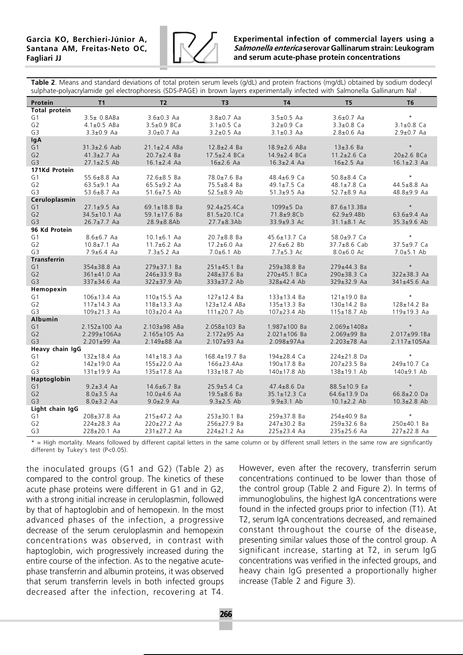

### Experimental infection of commercial layers using a Salmonella enterica serovar Gallinarum strain: Leukogram and serum acute-phase protein concentrations

Table 2. Means and standard deviations of total protein serum levels (g/dL) and protein fractions (mg/dL) obtained by sodium dodecyl sulphate-polyacrylamide gel electrophoresis (SDS-PAGE) in brown layers experimentally infected with Salmonella Gallinarum Nal<sup>r</sup> .

| Protein              | <b>T1</b>          | T <sub>2</sub>     | T3                 | <b>T4</b>          | T <sub>5</sub>     | T <sub>6</sub>     |  |  |  |
|----------------------|--------------------|--------------------|--------------------|--------------------|--------------------|--------------------|--|--|--|
| <b>Total protein</b> |                    |                    |                    |                    |                    |                    |  |  |  |
| G <sub>1</sub>       | $3.5 \pm 0.8$ ABa  | $3.6 \pm 0.3$ Aa   | $3.8 \pm 0.7$ Aa   | $3.5 \pm 0.5$ Aa   | $3.6 \pm 0.7$ Aa   | $\star$            |  |  |  |
| G <sub>2</sub>       | $4.1 \pm 0.5$ ABa  | $3.5 \pm 0.9$ BCa  | $3.1 \pm 0.5$ Ca   | $3.2 \pm 0.9$ Ca   | $3.3 \pm 0.8$ Ca   | $3.1 \pm 0.8$ Ca   |  |  |  |
| G <sub>3</sub>       | $3.3 \pm 0.9$ Aa   | $3.0 \pm 0.7$ Aa   | $3.2 \pm 0.5$ Aa   | $3.1 \pm 0.3$ Aa   | $2.8 \pm 0.6$ Aa   | $2.9 \pm 0.7$ Aa   |  |  |  |
| lgA                  |                    |                    |                    |                    |                    |                    |  |  |  |
| G1                   | $31.3 \pm 2.6$ Aab | $21.1 \pm 2.4$ ABa | $12.8 \pm 2.4$ Ba  | $18.9 \pm 2.6$ ABa | $13\pm3.6$ Ba      | $\star$            |  |  |  |
| G2                   | $41.3 \pm 2.7$ Aa  | $20.7 \pm 2.4$ Ba  | $17.5 \pm 2.4$ BCa | $14.9{\pm}2.4$ BCa | $11.2 \pm 2.6$ Ca  | $20\pm2.6$ BCa     |  |  |  |
| G <sub>3</sub>       | $27.1 \pm 2.5$ Ab  | $16.1 \pm 2.4$ Aa  | $16\pm2.6$ Aa      | $16.3 \pm 2.4$ Aa  | $16\pm2.5$ Aa      | $16.1 \pm 2.3$ Aa  |  |  |  |
| 171Kd Protein        |                    |                    |                    |                    |                    |                    |  |  |  |
| G1                   | $55.6 \pm 8.8$ Aa  | 72.6±8.5 Ba        | 78.0±7.6 Ba        | 48.4±6.9 Ca        | $50.8 \pm 8.4$ Ca  | $\star$            |  |  |  |
| G <sub>2</sub>       | $63.5 \pm 9.1$ Aa  | $65.5 \pm 9.2$ Aa  | 75.5±8.4 Ba        | 49.1 $\pm$ 7.5 Ca  | 48.1 $\pm$ 7.8 Ca  | $44.5 \pm 8.8$ Aa  |  |  |  |
| G <sub>3</sub>       | $53.6 \pm 8.7$ Aa  | $51.6 \pm 7.5$ Ab  | $52.5 \pm 8.9$ Ab  | $51.3 \pm 9.5$ Aa  | $52.7 \pm 8.9$ Aa  | 48.8±9.9 Aa        |  |  |  |
| Ceruloplasmin        |                    |                    |                    |                    |                    |                    |  |  |  |
| G1                   | $27.1 \pm 9.5$ Aa  | 69.1±18.8 Ba       | $92.4 \pm 25.4$ Ca | 1099±5 Da          | $87.6 \pm 13.3 Ba$ | $\star$            |  |  |  |
| G <sub>2</sub>       | 34.5±10.1 Aa       | $59.1 \pm 17.6$ Ba | $81.5 \pm 20.1$ Ca | 71.8±9.8Cb         | $62.9 + 9.4 Bb$    | $63.6 \pm 9.4$ Aa  |  |  |  |
| G <sub>3</sub>       | $26.7 \pm 7.7$ Aa  | $28.9 \pm 8.8$ Ab  | $27.7 \pm 8.3$ Ab  | 33.9±9.3 Ac        | $31.1 \pm 8.1$ Ac  | 35.3±9.6 Ab        |  |  |  |
| 96 Kd Protein        |                    |                    |                    |                    |                    |                    |  |  |  |
| G <sub>1</sub>       | $8.6 \pm 6.7$ Aa   | $10.1 \pm 6.1$ Aa  | $20.7 \pm 8.8$ Ba  | 45.6±13.7 Ca       | 58.0±9.7 Ca        | $\star$            |  |  |  |
| G <sub>2</sub>       | $10.8 \pm 7.1$ Aa  | $11.7 \pm 6.2$ Aa  | $17.2 \pm 6.0$ Aa  | $27.6 \pm 6.2$ Bb  | $37.7 \pm 8.6$ Cab | 37.5±9.7 Ca        |  |  |  |
| G <sub>3</sub>       | $7.9 \pm 6.4$ Aa   | $7.3 \pm 5.2$ Aa   | $7.0 \pm 6.1$ Ab   | $7.7 + 5.3$ Ac     | $8.0 \pm 6.0$ Ac   | $7.0 \pm 5.1$ Ab   |  |  |  |
| <b>Transferrin</b>   |                    |                    |                    |                    |                    |                    |  |  |  |
| G <sub>1</sub>       | 354±38.8 Aa        | $279 \pm 37.1$ Ba  | $251 \pm 45.1$ Ba  | $259 \pm 38.8$ Ba  | $279 \pm 44.3$ Ba  | $\star$            |  |  |  |
| G <sub>2</sub>       | 361±41.0 Aa        | 246±33.9 Ba        | 248±37.6 Ba        | 270±45.1 BCa       | 290±38.3 Ca        | 322±38.3 Aa        |  |  |  |
| G <sub>3</sub>       | 337±34.6 Aa        | 322±37.9 Ab        | 333±37.2 Ab        | 328±42.4 Ab        | 329±32.9 Aa        | $341\pm45.6$ Aa    |  |  |  |
| Hemopexin            |                    |                    |                    |                    |                    |                    |  |  |  |
| G1                   | $106 \pm 13.4$ Aa  | $110±15.5$ Aa      | $127 \pm 12.4$ Ba  | $133 \pm 13.4$ Ba  | $121 \pm 19.0$ Ba  | $\star$            |  |  |  |
| G <sub>2</sub>       | $117 \pm 14.3$ Aa  | $118 + 13.3$ Aa    | $123 \pm 12.4$ ABa | 135±13.3 Ba        | $130±14.2$ Ba      | 128±14.2 Ba        |  |  |  |
| G <sub>3</sub>       |                    |                    |                    |                    |                    |                    |  |  |  |
|                      | 109±21.3 Aa        | $103\pm20.4$ Aa    | $111 \pm 20.7$ Ab  | $107 \pm 23.4$ Ab  | 115±18.7 Ab        | $119±19.3$ Aa      |  |  |  |
| Albumin<br>G1        |                    | 2.103±98 ABa       | 2.058±103 Ba       | $1.987 \pm 100$ Ba | $2.069 \pm 140$ Ba | $\star$            |  |  |  |
|                      | $2.152 \pm 100$ Aa |                    |                    |                    |                    |                    |  |  |  |
| G <sub>2</sub>       | $2.299 \pm 106$ Aa | $2.165 \pm 105$ Aa | $2.172 \pm 95$ Aa  | $2.021 \pm 106$ Ba | $2.069 \pm 99$ Ba  | $2.017 + 99.1Ba$   |  |  |  |
| G <sub>3</sub>       | $2.201 \pm 99$ Aa  | $2.149 \pm 88$ Aa  | $2.107 + 93$ Aa    | 2.098±97Aa         | $2.203 \pm 78$ Aa  | $2.117 \pm 105$ Aa |  |  |  |
| Heavy chain IgG      |                    |                    |                    |                    |                    | $\star$            |  |  |  |
| G1                   | $132 \pm 18.4$ Aa  | $141\pm18.3$ Aa    | 168.4±19.7 Ba      | 194±28.4 Ca        | 224±21.8 Da        |                    |  |  |  |
| G <sub>2</sub>       | $142 \pm 19.0$ Aa  | 155±22.0 Aa        | $166 \pm 23.4$ Aa  | 190±17.8 Ba        | $207 \pm 23.5$ Ba  | 249±10.7 Ca        |  |  |  |
| G <sub>3</sub>       | $131 \pm 19.9$ Aa  | 135±17.8 Aa        | 133±18.7 Ab        | 140±17.8 Ab        | 138±19.1 Ab        | $140±9.1$ Ab       |  |  |  |
| Haptoglobin          |                    |                    |                    |                    |                    |                    |  |  |  |
| G1                   | $9.2 \pm 3.4$ Aa   | $14.6 \pm 6.7$ Ba  | 25.9±5.4 Ca        | $47.4 \pm 8.6$ Da  | 88.5±10.9 Ea       | $\star$            |  |  |  |
| G <sub>2</sub>       | $8.0 \pm 3.5$ Aa   | $10.0 + 4.6$ Aa    | $19.5 \pm 8.6$ Ba  | 35.1±12.3 Ca       | $64.6 \pm 13.9$ Da | $66.8 \pm 2.0$ Da  |  |  |  |
| G <sub>3</sub>       | $8.0 \pm 3.2$ Aa   | $9.0 \pm 2.9$ Aa   | $9.3 \pm 2.5$ Ab   | $9.9 \pm 3.1$ Ab   | $10.1 \pm 2.2$ Ab  | $10.3 \pm 2.8$ Ab  |  |  |  |
| Light chain IgG      |                    |                    |                    |                    |                    |                    |  |  |  |
| G1                   | 208±37.8 Aa        | 215±47.2 Aa        | $253 \pm 30.1$ Ba  | 259±37.8 Ba        | 254±40.9 Ba        | $\star$            |  |  |  |
| G <sub>2</sub>       | 224±28.3 Aa        | 220±27.2 Aa        | 256±27.9 Ba        | 247±30.2 Ba        | 259±32.6 Ba        | 250±40.1 Ba        |  |  |  |
| G <sub>3</sub>       | 228±20.1 Aa        | $231 \pm 27.2$ Aa  | $224 \pm 21.2$ Aa  | 225±23.4 Aa        | 235±25.6 Aa        | $227 \pm 22.8$ Aa  |  |  |  |

\* = High mortality. Means followed by different capital letters in the same column or by different small letters in the same row are significantly different by Tukey's test (P<0.05).

the inoculated groups (G1 and G2) (Table 2) as compared to the control group. The kinetics of these acute phase proteins were different in G1 and in G2, with a strong initial increase in ceruloplasmin, followed by that of haptoglobin and of hemopexin. In the most advanced phases of the infection, a progressive decrease of the serum ceruloplasmin and hemopexin concentrations was observed, in contrast with haptoglobin, wich progressively increased during the entire course of the infection. As to the negative acutephase transferrin and albumin proteins, it was observed that serum transferrin levels in both infected groups decreased after the infection, recovering at T4.

However, even after the recovery, transferrin serum concentrations continued to be lower than those of the control group (Table 2 and Figure 2). In terms of immunoglobulins, the highest IgA concentrations were found in the infected groups prior to infection (T1). At T2, serum IgA concentrations decreased, and remained constant throughout the course of the disease, presenting similar values those of the control group. A significant increase, starting at T2, in serum IgG concentrations was verified in the infected groups, and heavy chain IgG presented a proportionally higher increase (Table 2 and Figure 3).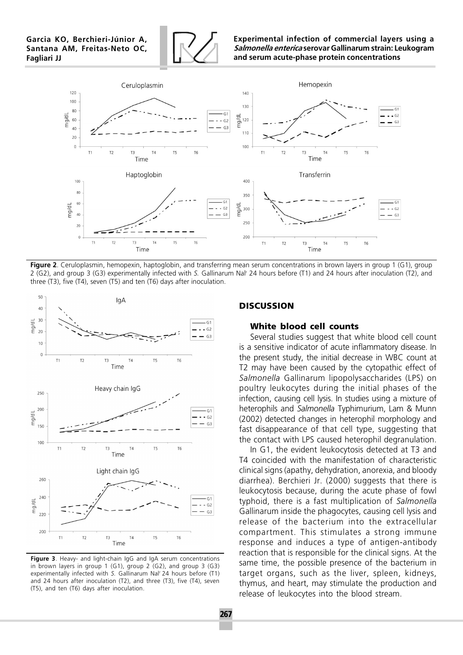

Experimental infection of commercial layers using a Salmonella enterica serovar Gallinarum strain: Leukogram and serum acute-phase protein concentrations



Figure 2. Ceruloplasmin, hemopexin, haptoglobin, and transferring mean serum concentrations in brown layers in group 1 (G1), group 2 (G2), and group 3 (G3) experimentally infected with S. Gallinarum Nal<sup>r</sup> 24 hours before (T1) and 24 hours after inoculation (T2), and three (T3), five (T4), seven (T5) and ten (T6) days after inoculation.



Figure 3. Heavy- and light-chain IgG and IgA serum concentrations in brown layers in group 1 (G1), group 2 (G2), and group 3 (G3) experimentally infected with S. Gallinarum Nal<sup>r</sup> 24 hours before (T1) and 24 hours after inoculation (T2), and three (T3), five (T4), seven (T5), and ten (T6) days after inoculation.

### **DISCUSSION**

### **White blood cell counts**

Several studies suggest that white blood cell count is a sensitive indicator of acute inflammatory disease. In the present study, the initial decrease in WBC count at T2 may have been caused by the cytopathic effect of Salmonella Gallinarum lipopolysaccharides (LPS) on poultry leukocytes during the initial phases of the infection, causing cell lysis. In studies using a mixture of heterophils and Salmonella Typhimurium, Lam & Munn (2002) detected changes in heterophil morphology and fast disappearance of that cell type, suggesting that the contact with LPS caused heterophil degranulation.

In G1, the evident leukocytosis detected at T3 and T4 coincided with the manifestation of characteristic clinical signs (apathy, dehydration, anorexia, and bloody diarrhea). Berchieri Jr. (2000) suggests that there is leukocytosis because, during the acute phase of fowl typhoid, there is a fast multiplication of Salmonella Gallinarum inside the phagocytes, causing cell lysis and release of the bacterium into the extracellular compartment. This stimulates a strong immune response and induces a type of antigen-antibody reaction that is responsible for the clinical signs. At the same time, the possible presence of the bacterium in target organs, such as the liver, spleen, kidneys, thymus, and heart, may stimulate the production and release of leukocytes into the blood stream.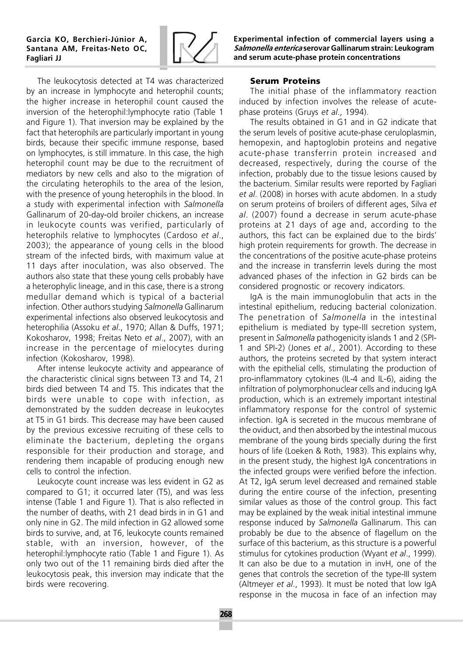

The leukocytosis detected at T4 was characterized by an increase in lymphocyte and heterophil counts; the higher increase in heterophil count caused the inversion of the heterophil:lymphocyte ratio (Table 1 and Figure 1). That inversion may be explained by the fact that heterophils are particularly important in young birds, because their specific immune response, based on lymphocytes, is still immature. In this case, the high heterophil count may be due to the recruitment of mediators by new cells and also to the migration of the circulating heterophils to the area of the lesion, with the presence of young heterophils in the blood. In a study with experimental infection with Salmonella Gallinarum of 20-day-old broiler chickens, an increase in leukocyte counts was verified, particularly of heterophils relative to lymphocytes (Cardoso et al., 2003); the appearance of young cells in the blood stream of the infected birds, with maximum value at 11 days after inoculation, was also observed. The authors also state that these young cells probably have a heterophylic lineage, and in this case, there is a strong medullar demand which is typical of a bacterial infection. Other authors studying Salmonella Gallinarum experimental infections also observed leukocytosis and heterophilia (Assoku et al., 1970; Allan & Duffs, 1971; Kokosharov, 1998; Freitas Neto et al., 2007), with an increase in the percentage of mielocytes during infection (Kokosharov, 1998).

After intense leukocyte activity and appearance of the characteristic clinical signs between T3 and T4, 21 birds died between T4 and T5. This indicates that the birds were unable to cope with infection, as demonstrated by the sudden decrease in leukocytes at T5 in G1 birds. This decrease may have been caused by the previous excessive recruiting of these cells to eliminate the bacterium, depleting the organs responsible for their production and storage, and rendering them incapable of producing enough new cells to control the infection.

Leukocyte count increase was less evident in G2 as compared to G1; it occurred later (T5), and was less intense (Table 1 and Figure 1). That is also reflected in the number of deaths, with 21 dead birds in in G1 and only nine in G2. The mild infection in G2 allowed some birds to survive, and, at T6, leukocyte counts remained stable, with an inversion, however, of the heterophil:lymphocyte ratio (Table 1 and Figure 1). As only two out of the 11 remaining birds died after the leukocytosis peak, this inversion may indicate that the birds were recovering.

Experimental infection of commercial layers using a Salmonella enterica serovar Gallinarum strain: Leukogram and serum acute-phase protein concentrations

# **Serum Proteins**

The initial phase of the inflammatory reaction induced by infection involves the release of acutephase proteins (Gruys et al., 1994).

The results obtained in G1 and in G2 indicate that the serum levels of positive acute-phase ceruloplasmin, hemopexin, and haptoglobin proteins and negative acute-phase transferrin protein increased and decreased, respectively, during the course of the infection, probably due to the tissue lesions caused by the bacterium. Similar results were reported by Fagliari et al. (2008) in horses with acute abdomen. In a study on serum proteins of broilers of different ages, Silva et al. (2007) found a decrease in serum acute-phase proteins at 21 days of age and, according to the authors, this fact can be explained due to the birds' high protein requirements for growth. The decrease in the concentrations of the positive acute-phase proteins and the increase in transferrin levels during the most advanced phases of the infection in G2 birds can be considered prognostic or recovery indicators.

IgA is the main immunoglobulin that acts in the intestinal epithelium, reducing bacterial colonization. The penetration of Salmonella in the intestinal epithelium is mediated by type-III secretion system, present in Salmonella pathogenicity islands 1 and 2 (SPI-1 and SPI-2) (Jones et al., 2001). According to these authors, the proteins secreted by that system interact with the epithelial cells, stimulating the production of pro-inflammatory cytokines (IL-4 and IL-6), aiding the infiltration of polymorphonuclear cells and inducing IgA production, which is an extremely important intestinal inflammatory response for the control of systemic infection. IgA is secreted in the mucous membrane of the oviduct, and then absorbed by the intestinal mucous membrane of the young birds specially during the first hours of life (Loeken & Roth, 1983). This explains why, in the present study, the highest IgA concentrations in the infected groups were verified before the infection. At T2, IgA serum level decreased and remained stable during the entire course of the infection, presenting similar values as those of the control group. This fact may be explained by the weak initial intestinal immune response induced by Salmonella Gallinarum. This can probably be due to the absence of flagellum on the surface of this bacterium, as this structure is a powerful stimulus for cytokines production (Wyant et al., 1999). It can also be due to a mutation in invH, one of the genes that controls the secretion of the type-III system (Altmeyer et al., 1993). It must be noted that low IgA response in the mucosa in face of an infection may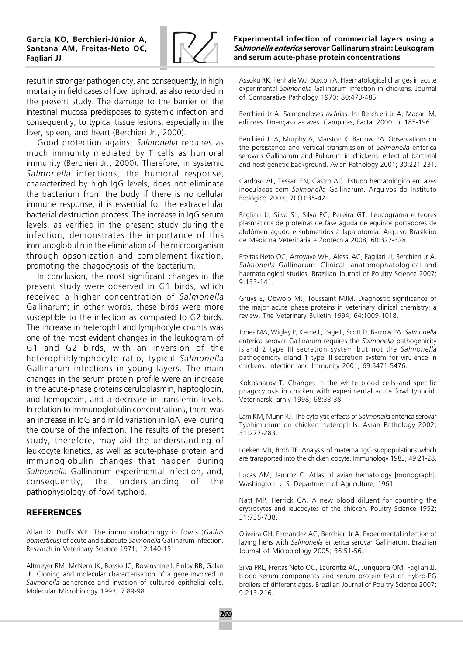

result in stronger pathogenicity, and consequently, in high mortality in field cases of fowl tiphoid, as also recorded in the present study. The damage to the barrier of the intestinal mucosa predisposes to systemic infection and consequently, to typical tissue lesions, especially in the liver, spleen, and heart (Berchieri Jr., 2000).

Good protection against Salmonella requires as much immunity mediated by T cells as humoral immunity (Berchieri Jr., 2000). Therefore, in systemic Salmonella infections, the humoral response, characterized by high IgG levels, does not eliminate the bacterium from the body if there is no cellular immune response; it is essential for the extracellular bacterial destruction process. The increase in IgG serum levels, as verified in the present study during the infection, demonstrates the importance of this immunoglobulin in the elimination of the microorganism through opsonization and complement fixation, promoting the phagocytosis of the bacterium.

In conclusion, the most significant changes in the present study were observed in G1 birds, which received a higher concentration of Salmonella Gallinarum; in other words, these birds were more susceptible to the infection as compared to G2 birds. The increase in heterophil and lymphocyte counts was one of the most evident changes in the leukogram of G1 and G2 birds, with an inversion of the heterophil:lymphocyte ratio, typical Salmonella Gallinarum infections in young layers. The main changes in the serum protein profile were an increase in the acute-phase proteins ceruloplasmin, haptoglobin, and hemopexin, and a decrease in transferrin levels. In relation to immunoglobulin concentrations, there was an increase in IgG and mild variation in IgA level during the course of the infection. The results of the present study, therefore, may aid the understanding of leukocyte kinetics, as well as acute-phase protein and immunoglobulin changes that happen during Salmonella Gallinarum experimental infection, and, consequently, the understanding of the pathophysiology of fowl typhoid.

# **REFERENCES**

Allan D, Duffs WP. The immunophatology in fowls (Gallus domesticus) of acute and subacute Salmonella Gallinarum infection. Research in Veterinary Science 1971; 12:140-151.

Altmeyer RM, McNern JK, Bossio JC, Rosenshine I, Finlay BB, Galan JE. Cloning and molecular characterisation of a gene involved in Salmonella adherence and invasion of cultured epithelial cells. Molecular Microbiology 1993; 7:89-98.

### Experimental infection of commercial layers using a Salmonella enterica serovar Gallinarum strain: Leukogram and serum acute-phase protein concentrations

Assoku RK, Penhale WJ, Buxton A. Haematological changes in acute experimental Salmonella Gallinarum infection in chickens. Journal of Comparative Pathology 1970; 80:473-485.

Berchieri Jr A. Salmoneloses aviárias. In: Berchieri Jr A, Macari M, editores. Doenças das aves. Campinas, Facta; 2000. p. 185-196.

Berchieri Jr A, Murphy A, Marston K, Barrow PA. Observations on the persistence and vertical transmission of Salmonella enterica serovars Gallinarum and Pullorum in chickens: effect of bacterial and host genetic background. Avian Pathology 2001; 30:221-231.

Cardoso AL, Tessari EN, Castro AG. Estudo hematológico em aves inoculadas com Salmonella Gallinarum. Arquivos do Instituto Biológico 2003; 70(1):35-42.

Fagliari JJ, Silva SL, Silva PC, Pereira GT. Leucograma e teores plasmáticos de proteínas de fase aguda de eqüinos portadores de abdômen agudo e submetidos à laparotomia. Arquivo Brasileiro de Medicina Veterinária e Zootecnia 2008; 60:322-328.

Freitas Neto OC, Arroyave WH, Alessi AC, Fagliari JJ, Berchieri Jr A. Salmonella Gallinarum: Clinical, anatomophatological and haematological studies. Brazilian Journal of Poultry Science 2007; 9:133-141.

Gruys E, Obwolo MJ, Toussaint MJM. Diagnostic significance of the major acute phase proteins in veterinary clinical chemistry: a review. The Veterinary Bulletin 1994; 64:1009-1018.

Jones MA, Wigley P, Kerrie L, Page L, Scott D, Barrow PA. Salmonella enterica serovar Gallinarum requires the Salmonella pathogenicity island 2 type III secretion system but not the Salmonella pathogenicity island 1 type III secretion system for virulence in chickens. Infection and Immunity 2001; 69:5471-5476.

Kokosharov T. Changes in the white blood cells and specific phagocytosis in chicken with experimental acute fowl typhoid. Veterinarski arhiv 1998; 68:33-38.

Lam KM, Munn RJ. The cytolytic effects of Salmonella enterica serovar Typhimurium on chicken heterophils. Avian Pathology 2002; 31:277-283.

Loeken MR, Roth TF. Analysis of maternal IgG subpopulations which are transported into the chicken oocyte. Immunology 1983; 49:21-28.

Lucas AM, Jamroz C. Atlas of avian hematology [monograph]. Washington: U.S. Department of Agriculture; 1961.

Natt MP, Herrick CA. A new blood diluent for counting the erytrocytes and leucocytes of the chicken. Poultry Science 1952; 31:735-738.

Oliveira GH, Fernandez AC, Berchieri Jr A. Experimental infection of laying hens with Salmonella enterica serovar Gallinarum. Brazilian Journal of Microbiology 2005; 36:51-56.

Silva PRL, Freitas Neto OC, Laurentiz AC, Junqueira OM, Fagliari JJ. blood serum components and serum protein test of Hybro-PG broilers of different ages. Brazilian Journal of Poultry Science 2007; 9:213-216.